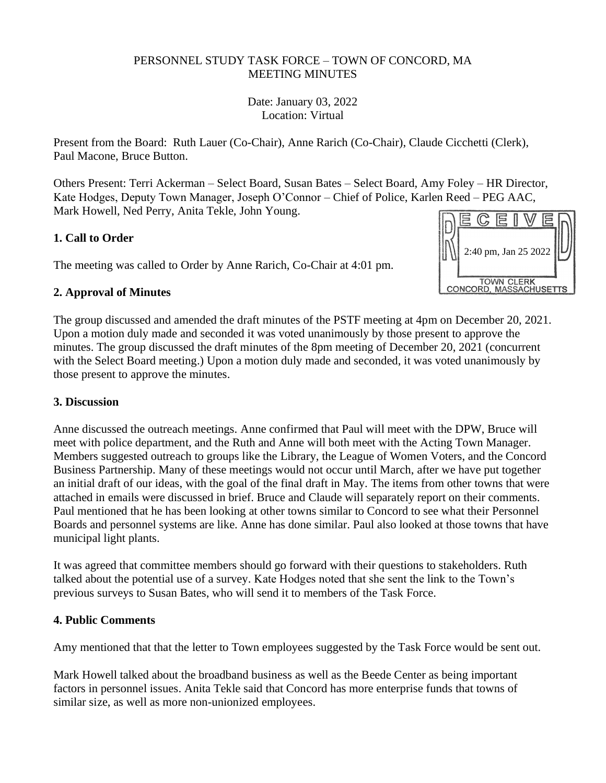#### PERSONNEL STUDY TASK FORCE – TOWN OF CONCORD, MA MEETING MINUTES

Date: January 03, 2022 Location: Virtual

Present from the Board: Ruth Lauer (Co-Chair), Anne Rarich (Co-Chair), Claude Cicchetti (Clerk), Paul Macone, Bruce Button.

Others Present: Terri Ackerman – Select Board, Susan Bates – Select Board, Amy Foley – HR Director, Kate Hodges, Deputy Town Manager, Joseph O'Connor – Chief of Police, Karlen Reed – PEG AAC, Mark Howell, Ned Perry, Anita Tekle, John Young.

## **1. Call to Order**

The meeting was called to Order by Anne Rarich, Co-Chair at 4:01 pm.



### **2. Approval of Minutes**

The group discussed and amended the draft minutes of the PSTF meeting at 4pm on December 20, 2021. Upon a motion duly made and seconded it was voted unanimously by those present to approve the minutes. The group discussed the draft minutes of the 8pm meeting of December 20, 2021 (concurrent with the Select Board meeting.) Upon a motion duly made and seconded, it was voted unanimously by those present to approve the minutes.

### **3. Discussion**

Anne discussed the outreach meetings. Anne confirmed that Paul will meet with the DPW, Bruce will meet with police department, and the Ruth and Anne will both meet with the Acting Town Manager. Members suggested outreach to groups like the Library, the League of Women Voters, and the Concord Business Partnership. Many of these meetings would not occur until March, after we have put together an initial draft of our ideas, with the goal of the final draft in May. The items from other towns that were attached in emails were discussed in brief. Bruce and Claude will separately report on their comments. Paul mentioned that he has been looking at other towns similar to Concord to see what their Personnel Boards and personnel systems are like. Anne has done similar. Paul also looked at those towns that have municipal light plants.

It was agreed that committee members should go forward with their questions to stakeholders. Ruth talked about the potential use of a survey. Kate Hodges noted that she sent the link to the Town's previous surveys to Susan Bates, who will send it to members of the Task Force.

# **4. Public Comments**

Amy mentioned that that the letter to Town employees suggested by the Task Force would be sent out.

Mark Howell talked about the broadband business as well as the Beede Center as being important factors in personnel issues. Anita Tekle said that Concord has more enterprise funds that towns of similar size, as well as more non-unionized employees.